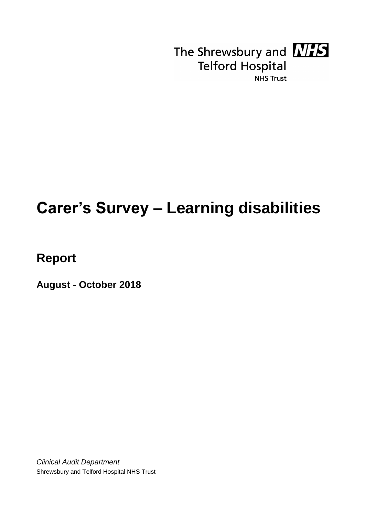

The Shrewsbury and **NHS Telford Hospital NHS Trust** 

# **Carer's Survey – Learning disabilities**

**Report**

**August - October 2018**

*Clinical Audit Department* Shrewsbury and Telford Hospital NHS Trust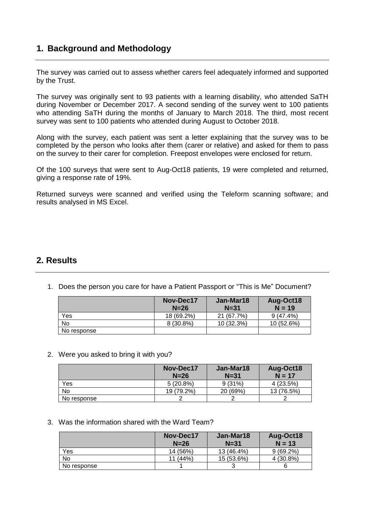## **1. Background and Methodology**

The survey was carried out to assess whether carers feel adequately informed and supported by the Trust.

The survey was originally sent to 93 patients with a learning disability, who attended SaTH during November or December 2017. A second sending of the survey went to 100 patients who attending SaTH during the months of January to March 2018. The third, most recent survey was sent to 100 patients who attended during August to October 2018.

Along with the survey, each patient was sent a letter explaining that the survey was to be completed by the person who looks after them (carer or relative) and asked for them to pass on the survey to their carer for completion. Freepost envelopes were enclosed for return.

Of the 100 surveys that were sent to Aug-Oct18 patients, 19 were completed and returned, giving a response rate of 19%.

Returned surveys were scanned and verified using the Teleform scanning software; and results analysed in MS Excel.

### **2. Results**

|             | Nov-Dec17<br>$N=26$ | Jan-Mar18<br>$N = 31$ | Aug-Oct18<br>$N = 19$ |
|-------------|---------------------|-----------------------|-----------------------|
| Yes         | 18 (69.2%)          | 21 (67.7%)            | $9(47.4\%)$           |
| <b>No</b>   | 8 (30.8%)           | 10(32.3%)             | 10 (52.6%)            |
| No response |                     |                       |                       |

1. Does the person you care for have a Patient Passport or "This is Me" Document?

#### 2. Were you asked to bring it with you?

|             | Nov-Dec17<br>$N=26$ | Jan-Mar18<br>$N = 31$ | Aug-Oct18<br>$N = 17$ |
|-------------|---------------------|-----------------------|-----------------------|
| Yes         | $5(20.8\%)$         | 9(31%)                | 4(23.5%)              |
| No          | 19 (79.2%)          | 20 (69%)              | 13 (76.5%)            |
| No response |                     |                       |                       |

3. Was the information shared with the Ward Team?

|             | Nov-Dec17<br>$N=26$ | Jan-Mar18<br>$N = 31$ | Aug-Oct18<br>$N = 13$ |
|-------------|---------------------|-----------------------|-----------------------|
| Yes         | 14 (56%)            | 13 (46.4%)            | $9(69.2\%)$           |
| No          | 11 (44%)            | 15 (53.6%)            | 4 (30.8%)             |
| No response |                     |                       |                       |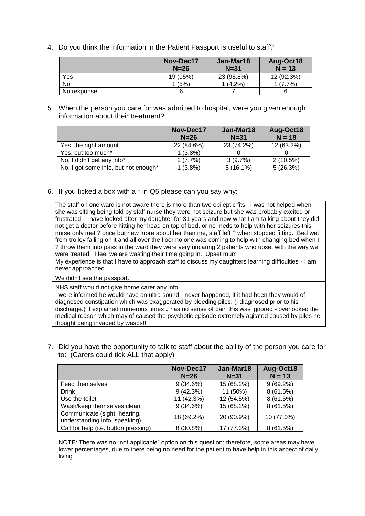4. Do you think the information in the Patient Passport is useful to staff?

|             | Nov-Dec17<br>$N=26$ | Jan-Mar18<br>$N = 31$ | Aug-Oct18<br>$N = 13$ |
|-------------|---------------------|-----------------------|-----------------------|
| Yes         | 19 (95%)            | 23 (95.8%)            | 12 (92.3%)            |
| No          | 1(5%)               | $1(4.2\%)$            | $(7.7\%)$             |
| No response | 6                   |                       |                       |

5. When the person you care for was admitted to hospital, were you given enough information about their treatment?

|                                      | Nov-Dec17<br>$N=26$ | Jan-Mar18<br>$N = 31$ | Aug-Oct18<br>$N = 19$ |
|--------------------------------------|---------------------|-----------------------|-----------------------|
| Yes, the right amount                | 22 (84.6%)          | 23 (74.2%)            | 12 (63.2%)            |
| Yes, but too much*                   | $1(3.8\%)$          |                       |                       |
| No, I didn't get any info*           | 2(7.7%)             | 3(9.7%)               | 2(10.5%)              |
| No, I got some info, but not enough* | $1(3.8\%)$          | $5(16.1\%)$           | 5(26.3%)              |

6. If you ticked a box with a \* in Q5 please can you say why:

The staff on one ward is not aware there is more than two epileptic fits. I was not helped when she was sitting being told by staff nurse they were not seizure but she was probably excited or frustrated. I have looked after my daughter for 31 years and now what I am talking about they did not get a doctor before hitting her head on top of bed, or no meds to help with her seizures this nurse only met ? once but new more about her than me, staff left ? when stopped fitting. Bed wet from trolley falling on it and all over the floor no one was coming to help with changing bed when I ? throw them into pass in the ward they were very uncaring 2 patients who upset with the way we were treated. I feel we are wasting their time going in. Upset mum

My experience is that I have to approach staff to discuss my daughters learning difficulties - I am never approached.

We didn't see the passport.

NHS staff would not give home carer any info.

I were informed he would have an ultra sound - never happened, if it had been they would of diagnosed constipation which was exaggerated by bleeding piles. (I diagnosed prior to his discharge.) I explained numerous times J has no sense of pain this was ignored - overlooked the medical reason which may of caused the psychotic episode extremely agitated caused by piles he thought being invaded by wasps!!

7. Did you have the opportunity to talk to staff about the ability of the person you care for to: (Carers could tick ALL that apply)

|                                                               | Nov-Dec17<br>$N=26$ | Jan-Mar18<br>$N = 31$ | Aug-Oct18<br>$N = 13$ |
|---------------------------------------------------------------|---------------------|-----------------------|-----------------------|
| Feed themselves                                               | 9(34.6%)            | 15 (68.2%)            | $9(69.2\%)$           |
| <b>Drink</b>                                                  | 9(42.3%)            | 11 (50%)              | 8 (61.5%)             |
| Use the toilet                                                | 11 (42.3%)          | 12 (54.5%)            | 8(61.5%)              |
| Wash/keep themselves clean                                    | 9(34.6%)            | 15 (68.2%)            | 8(61.5%)              |
| Communicate (sight, hearing,<br>understanding info, speaking) | 18 (69.2%)          | 20 (90.9%)            | 10 (77.0%)            |
| Call for help (i.e. button pressing)                          | 8 (30.8%)           | 17 (77.3%)            | 8(61.5%)              |

NOTE: There was no "not applicable" option on this question; therefore, some areas may have lower percentages, due to there being no need for the patient to have help in this aspect of daily living.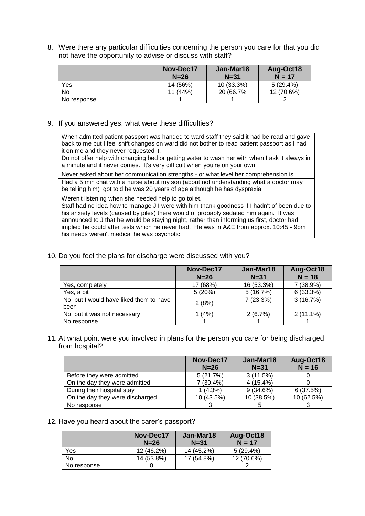8. Were there any particular difficulties concerning the person you care for that you did not have the opportunity to advise or discuss with staff?

|             | Nov-Dec17<br>$N=26$ | Jan-Mar18<br>$N = 31$ | Aug-Oct18<br>$N = 17$ |
|-------------|---------------------|-----------------------|-----------------------|
| Yes         | 14 (56%)            | $10(33.3\%)$          | $5(29.4\%)$           |
| No          | $11(44\%)$          | 20 (66.7%)            | 12 (70.6%)            |
| No response |                     |                       |                       |

9. If you answered yes, what were these difficulties?

When admitted patient passport was handed to ward staff they said it had be read and gave back to me but I feel shift changes on ward did not bother to read patient passport as I had it on me and they never requested it.

Do not offer help with changing bed or getting water to wash her with when I ask it always in a minute and it never comes. It's very difficult when you're on your own.

Never asked about her communication strengths - or what level her comprehension is. Had a 5 min chat with a nurse about my son (about not understanding what a doctor may be telling him) got told he was 20 years of age although he has dyspraxia.

Weren't listening when she needed help to go toilet.

Staff had no idea how to manage J I were with him thank goodness if I hadn't of been due to his anxiety levels (caused by piles) there would of probably sedated him again. It was announced to J that he would be staying night, rather than informing us first, doctor had implied he could after tests which he never had. He was in A&E from approx. 10:45 - 9pm his needs weren't medical he was psychotic.

10. Do you feel the plans for discharge were discussed with you?

|                                                 | Nov-Dec17<br>$N=26$ | Jan-Mar18<br>$N = 31$ | Aug-Oct18<br>$N = 18$ |
|-------------------------------------------------|---------------------|-----------------------|-----------------------|
| Yes, completely                                 | 17 (68%)            | 16 (53.3%)            | 7 (38.9%)             |
| Yes, a bit                                      | 5(20%)              | 5(16.7%)              | 6(33.3%)              |
| No, but I would have liked them to have<br>been | 2(8%)               | 7(23.3%)              | 3(16.7%)              |
| No, but it was not necessary                    | 1(4%)               | 2(6.7%)               | $2(11.1\%)$           |
| No response                                     |                     |                       |                       |

11. At what point were you involved in plans for the person you care for being discharged from hospital?

|                                 | Nov-Dec17<br>$N=26$ | Jan-Mar18<br>$N = 31$ | Aug-Oct18<br>$N = 16$ |
|---------------------------------|---------------------|-----------------------|-----------------------|
| Before they were admitted       | 5(21.7%)            | 3(11.5%)              |                       |
| On the day they were admitted   | $7(30.4\%)$         | $4(15.4\%)$           |                       |
| During their hospital stay      | $1(4.3\%)$          | $9(34.6\%)$           | 6(37.5%)              |
| On the day they were discharged | 10 (43.5%)          | 10 (38.5%)            | 10 (62.5%)            |
| No response                     |                     |                       |                       |

12. Have you heard about the carer's passport?

|             | Nov-Dec17<br>$N = 26$ | Jan-Mar18<br>$N = 31$ | Aug-Oct18<br>$N = 17$ |
|-------------|-----------------------|-----------------------|-----------------------|
| Yes         | 12 (46.2%)            | 14 (45.2%)            | $5(29.4\%)$           |
| No          | 14 (53.8%)            | 17 (54.8%)            | 12 (70.6%)            |
| No response |                       |                       |                       |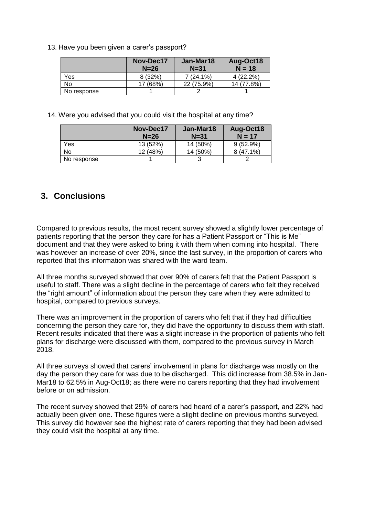13. Have you been given a carer's passport?

|             | Nov-Dec17<br>$N=26$ | Jan-Mar18<br>$N = 31$ | Aug-Oct18<br>$N = 18$ |
|-------------|---------------------|-----------------------|-----------------------|
| Yes         | 8(32%)              | $7(24.1\%)$           | 4 (22.2%)             |
| No          | (68%)               | 22 (75.9%)            | 14 (77.8%)            |
| No response |                     |                       |                       |

14. Were you advised that you could visit the hospital at any time?

|             | Nov-Dec17<br>$N=26$ | Jan-Mar18<br>$N = 31$ | Aug-Oct18<br>$N = 17$ |
|-------------|---------------------|-----------------------|-----------------------|
| Yes         | 13(52%)             | 14 (50%)              | $9(52.9\%)$           |
| No          | 12 (48%)            | 14 (50%)              | $8(47.1\%)$           |
| No response |                     |                       |                       |

## **3. Conclusions**

Compared to previous results, the most recent survey showed a slightly lower percentage of patients reporting that the person they care for has a Patient Passport or "This is Me" document and that they were asked to bring it with them when coming into hospital. There was however an increase of over 20%, since the last survey, in the proportion of carers who reported that this information was shared with the ward team.

All three months surveyed showed that over 90% of carers felt that the Patient Passport is useful to staff. There was a slight decline in the percentage of carers who felt they received the "right amount" of information about the person they care when they were admitted to hospital, compared to previous surveys.

There was an improvement in the proportion of carers who felt that if they had difficulties concerning the person they care for, they did have the opportunity to discuss them with staff. Recent results indicated that there was a slight increase in the proportion of patients who felt plans for discharge were discussed with them, compared to the previous survey in March 2018.

All three surveys showed that carers' involvement in plans for discharge was mostly on the day the person they care for was due to be discharged. This did increase from 38.5% in Jan-Mar18 to 62.5% in Aug-Oct18; as there were no carers reporting that they had involvement before or on admission.

The recent survey showed that 29% of carers had heard of a carer's passport, and 22% had actually been given one. These figures were a slight decline on previous months surveyed. This survey did however see the highest rate of carers reporting that they had been advised they could visit the hospital at any time.